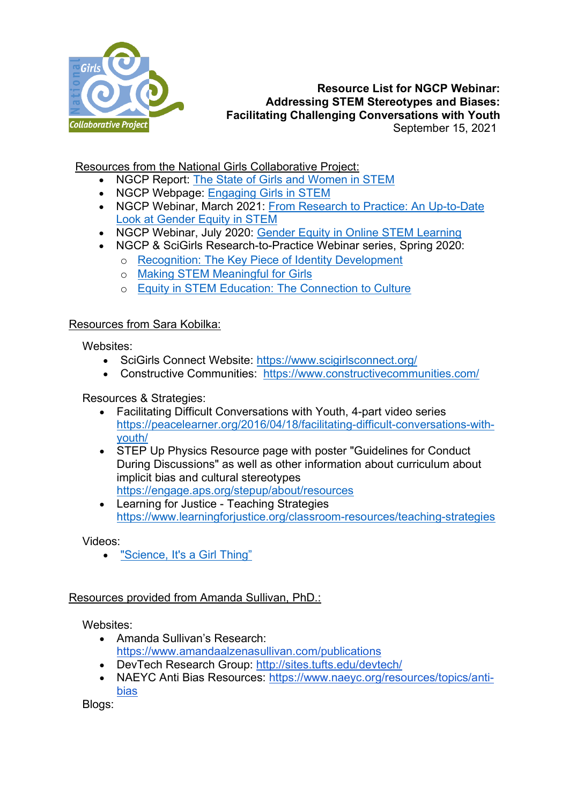

## **Resource List for NGCP Webinar: Addressing STEM Stereotypes and Biases: Facilitating Challenging Conversations with Youth** September 15, 2021

Resources from the National Girls Collaborative Project:

- NGCP Report: [The State of Girls and Women in STEM](https://ngcproject.org/sites/default/files/ngcp_stateofgirlsandwomeninstem.pdf)
- NGCP Webpage: [Engaging Girls in STEM](https://ngcproject.org/engaging-girls-in-stem)
- NGCP Webinar, March 2021: [From Research to Practice: An Up-to-Date](https://ngcproject.org/from-research-to-practice-an-up-to-date-look-at-gender-equity-in-stem)  [Look at Gender Equity in STEM](https://ngcproject.org/from-research-to-practice-an-up-to-date-look-at-gender-equity-in-stem)
- NGCP Webinar, July 2020: [Gender Equity in Online STEM Learning](https://ngcproject.org/gender-equity-in-online-stem-learning)
- NGCP & SciGirls Research-to-Practice Webinar series, Spring 2020:
	- o [Recognition: The Key Piece of Identity Development](https://ngcproject.org/recognition-the-key-piece-of-identity-development-framework)
	- o [Making STEM Meaningful for Girls](https://ngcproject.org/making-stem-meaningful-for-girls-0)
	- o [Equity in STEM Education: The Connection to Culture](https://ngcproject.org/equity-in-stem-education-the-connection-to-culture)

## Resources from Sara Kobilka:

Websites:

- SciGirls Connect Website: <https://www.scigirlsconnect.org/>
- Constructive Communities: <https://www.constructivecommunities.com/>

## Resources & Strategies:

- Facilitating Difficult Conversations with Youth, 4-part video series [https://peacelearner.org/2016/04/18/facilitating-difficult-conversations-with](https://peacelearner.org/2016/04/18/facilitating-difficult-conversations-with-youth/)[youth/](https://peacelearner.org/2016/04/18/facilitating-difficult-conversations-with-youth/)
- STEP Up Physics Resource page with poster "Guidelines for Conduct During Discussions" as well as other information about curriculum about implicit bias and cultural stereotypes <https://engage.aps.org/stepup/about/resources>
- Learning for Justice Teaching Strategies <https://www.learningforjustice.org/classroom-resources/teaching-strategies>

Videos:

• ["Science, It's a Girl Thing"](https://www.youtube.com/watch?v=iuJ1zp-QT8o)

## Resources provided from Amanda Sullivan, PhD.:

Websites:

- Amanda Sullivan's Research: <https://www.amandaalzenasullivan.com/publications>
- DevTech Research Group:<http://sites.tufts.edu/devtech/>
- NAEYC Anti Bias Resources: [https://www.naeyc.org/resources/topics/anti](https://www.naeyc.org/resources/topics/anti-bias)[bias](https://www.naeyc.org/resources/topics/anti-bias)

Blogs: